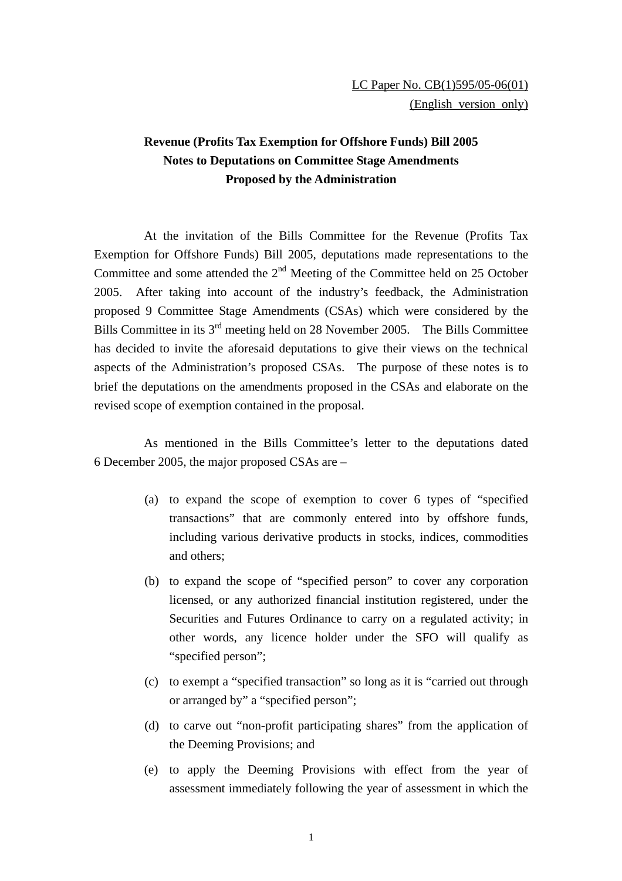## **Revenue (Profits Tax Exemption for Offshore Funds) Bill 2005 Notes to Deputations on Committee Stage Amendments Proposed by the Administration**

At the invitation of the Bills Committee for the Revenue (Profits Tax Exemption for Offshore Funds) Bill 2005, deputations made representations to the Committee and some attended the  $2<sup>nd</sup>$  Meeting of the Committee held on 25 October 2005. After taking into account of the industry's feedback, the Administration proposed 9 Committee Stage Amendments (CSAs) which were considered by the Bills Committee in its  $3<sup>rd</sup>$  meeting held on 28 November 2005. The Bills Committee has decided to invite the aforesaid deputations to give their views on the technical aspects of the Administration's proposed CSAs. The purpose of these notes is to brief the deputations on the amendments proposed in the CSAs and elaborate on the revised scope of exemption contained in the proposal.

As mentioned in the Bills Committee's letter to the deputations dated 6 December 2005, the major proposed CSAs are –

- (a) to expand the scope of exemption to cover 6 types of "specified transactions" that are commonly entered into by offshore funds, including various derivative products in stocks, indices, commodities and others;
- (b) to expand the scope of "specified person" to cover any corporation licensed, or any authorized financial institution registered, under the Securities and Futures Ordinance to carry on a regulated activity; in other words, any licence holder under the SFO will qualify as "specified person";
- (c) to exempt a "specified transaction" so long as it is "carried out through or arranged by" a "specified person";
- (d) to carve out "non-profit participating shares" from the application of the Deeming Provisions; and
- (e) to apply the Deeming Provisions with effect from the year of assessment immediately following the year of assessment in which the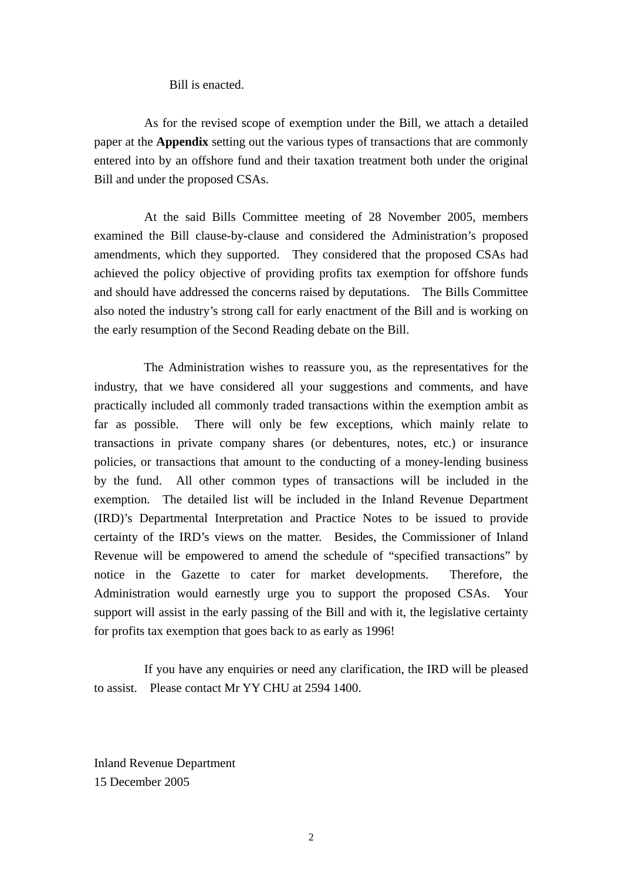Bill is enacted.

As for the revised scope of exemption under the Bill, we attach a detailed paper at the **Appendix** setting out the various types of transactions that are commonly entered into by an offshore fund and their taxation treatment both under the original Bill and under the proposed CSAs.

 At the said Bills Committee meeting of 28 November 2005, members examined the Bill clause-by-clause and considered the Administration's proposed amendments, which they supported. They considered that the proposed CSAs had achieved the policy objective of providing profits tax exemption for offshore funds and should have addressed the concerns raised by deputations. The Bills Committee also noted the industry's strong call for early enactment of the Bill and is working on the early resumption of the Second Reading debate on the Bill.

The Administration wishes to reassure you, as the representatives for the industry, that we have considered all your suggestions and comments, and have practically included all commonly traded transactions within the exemption ambit as far as possible. There will only be few exceptions, which mainly relate to transactions in private company shares (or debentures, notes, etc.) or insurance policies, or transactions that amount to the conducting of a money-lending business by the fund. All other common types of transactions will be included in the exemption. The detailed list will be included in the Inland Revenue Department (IRD)'s Departmental Interpretation and Practice Notes to be issued to provide certainty of the IRD's views on the matter. Besides, the Commissioner of Inland Revenue will be empowered to amend the schedule of "specified transactions" by notice in the Gazette to cater for market developments. Therefore, the Administration would earnestly urge you to support the proposed CSAs. Your support will assist in the early passing of the Bill and with it, the legislative certainty for profits tax exemption that goes back to as early as 1996!

If you have any enquiries or need any clarification, the IRD will be pleased to assist. Please contact Mr YY CHU at 2594 1400.

Inland Revenue Department 15 December 2005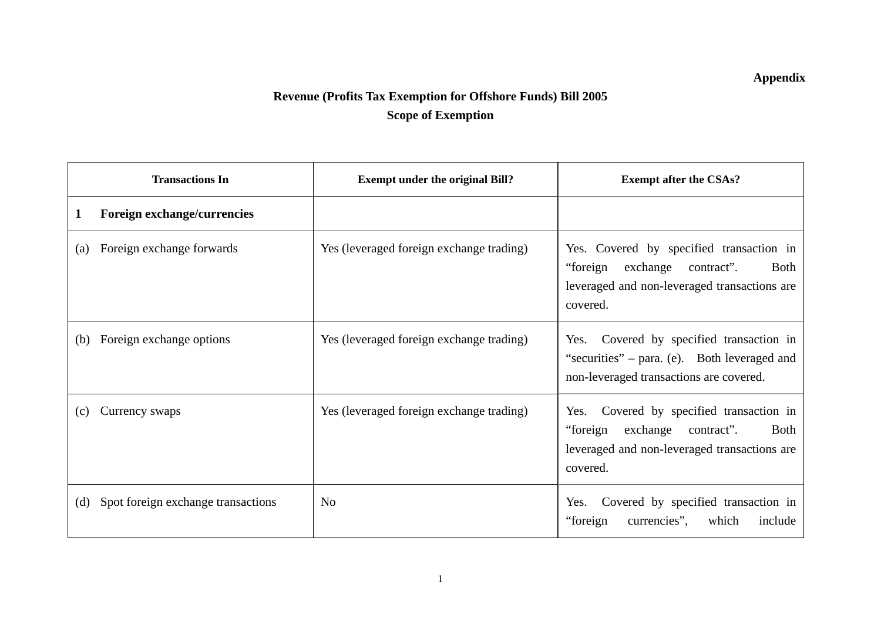## **Appendix**

## **Revenue (Profits Tax Exemption for Offshore Funds) Bill 2005 Scope of Exemption**

| <b>Transactions In</b>                    | <b>Exempt under the original Bill?</b>   | <b>Exempt after the CSAs?</b>                                                                                                                      |
|-------------------------------------------|------------------------------------------|----------------------------------------------------------------------------------------------------------------------------------------------------|
| Foreign exchange/currencies<br>1          |                                          |                                                                                                                                                    |
| Foreign exchange forwards<br>(a)          | Yes (leveraged foreign exchange trading) | Yes. Covered by specified transaction in<br>"foreign<br>exchange contract".<br>Both<br>leveraged and non-leveraged transactions are<br>covered.    |
| Foreign exchange options<br>(b)           | Yes (leveraged foreign exchange trading) | Yes. Covered by specified transaction in<br>"securities" – para. (e). Both leveraged and<br>non-leveraged transactions are covered.                |
| Currency swaps<br>(c)                     | Yes (leveraged foreign exchange trading) | Covered by specified transaction in<br>Yes.<br>"foreign<br>exchange contract".<br>Both<br>leveraged and non-leveraged transactions are<br>covered. |
| Spot foreign exchange transactions<br>(d) | N <sub>0</sub>                           | Covered by specified transaction in<br>Yes.<br>"foreign"<br>currencies",<br>which<br>include                                                       |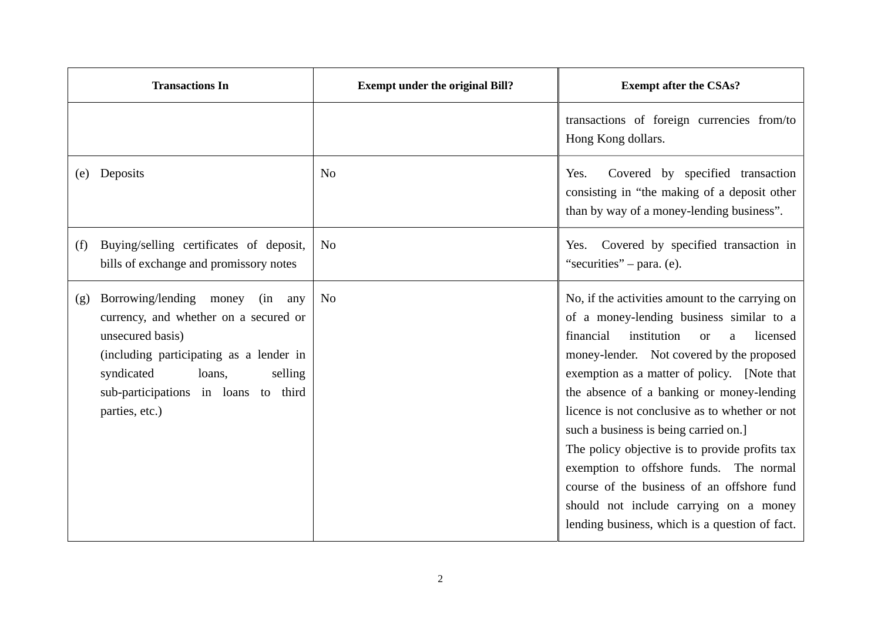| <b>Transactions In</b>                                                                                                                                                                                                                            | <b>Exempt under the original Bill?</b> | <b>Exempt after the CSAs?</b>                                                                                                                                                                                                                                                                                                                                                                                                                                                                                                                                                                                                    |
|---------------------------------------------------------------------------------------------------------------------------------------------------------------------------------------------------------------------------------------------------|----------------------------------------|----------------------------------------------------------------------------------------------------------------------------------------------------------------------------------------------------------------------------------------------------------------------------------------------------------------------------------------------------------------------------------------------------------------------------------------------------------------------------------------------------------------------------------------------------------------------------------------------------------------------------------|
|                                                                                                                                                                                                                                                   |                                        | transactions of foreign currencies from/to<br>Hong Kong dollars.                                                                                                                                                                                                                                                                                                                                                                                                                                                                                                                                                                 |
| Deposits<br>(e)                                                                                                                                                                                                                                   | N <sub>0</sub>                         | Covered by specified transaction<br>Yes.<br>consisting in "the making of a deposit other<br>than by way of a money-lending business".                                                                                                                                                                                                                                                                                                                                                                                                                                                                                            |
| Buying/selling certificates of deposit,<br>(f)<br>bills of exchange and promissory notes                                                                                                                                                          | N <sub>0</sub>                         | Covered by specified transaction in<br>Yes.<br>"securities" – para. (e).                                                                                                                                                                                                                                                                                                                                                                                                                                                                                                                                                         |
| Borrowing/lending money<br>(in<br>(g)<br>any<br>currency, and whether on a secured or<br>unsecured basis)<br>(including participating as a lender in<br>syndicated<br>selling<br>loans,<br>sub-participations in loans to third<br>parties, etc.) | N <sub>o</sub>                         | No, if the activities amount to the carrying on<br>of a money-lending business similar to a<br>financial<br>institution<br>licensed<br><b>or</b><br>a<br>money-lender. Not covered by the proposed<br>exemption as a matter of policy. [Note that<br>the absence of a banking or money-lending<br>licence is not conclusive as to whether or not<br>such a business is being carried on.]<br>The policy objective is to provide profits tax<br>exemption to offshore funds. The normal<br>course of the business of an offshore fund<br>should not include carrying on a money<br>lending business, which is a question of fact. |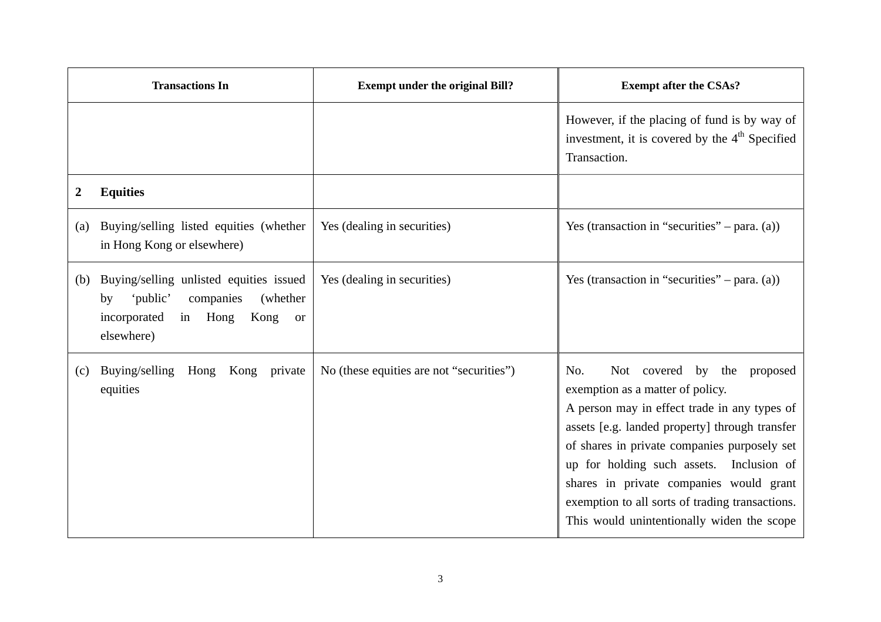|     | <b>Transactions In</b>                                                                                                                            | <b>Exempt under the original Bill?</b>   | <b>Exempt after the CSAs?</b>                                                                                                                                                                                                                                                                                                                                                                                       |
|-----|---------------------------------------------------------------------------------------------------------------------------------------------------|------------------------------------------|---------------------------------------------------------------------------------------------------------------------------------------------------------------------------------------------------------------------------------------------------------------------------------------------------------------------------------------------------------------------------------------------------------------------|
|     |                                                                                                                                                   |                                          | However, if the placing of fund is by way of<br>investment, it is covered by the 4 <sup>th</sup> Specified<br>Transaction.                                                                                                                                                                                                                                                                                          |
| 2   | <b>Equities</b>                                                                                                                                   |                                          |                                                                                                                                                                                                                                                                                                                                                                                                                     |
| (a) | Buying/selling listed equities (whether<br>in Hong Kong or elsewhere)                                                                             | Yes (dealing in securities)              | Yes (transaction in "securities" – para. $(a)$ )                                                                                                                                                                                                                                                                                                                                                                    |
| (b) | Buying/selling unlisted equities issued<br>'public'<br>companies<br>(whether)<br>by<br>incorporated<br>Kong<br>in Hong<br><b>or</b><br>elsewhere) | Yes (dealing in securities)              | Yes (transaction in "securities" – para. $(a)$ )                                                                                                                                                                                                                                                                                                                                                                    |
| (c) | Buying/selling Hong<br>Kong private<br>equities                                                                                                   | No (these equities are not "securities") | No.<br>Not covered by the<br>proposed<br>exemption as a matter of policy.<br>A person may in effect trade in any types of<br>assets [e.g. landed property] through transfer<br>of shares in private companies purposely set<br>up for holding such assets. Inclusion of<br>shares in private companies would grant<br>exemption to all sorts of trading transactions.<br>This would unintentionally widen the scope |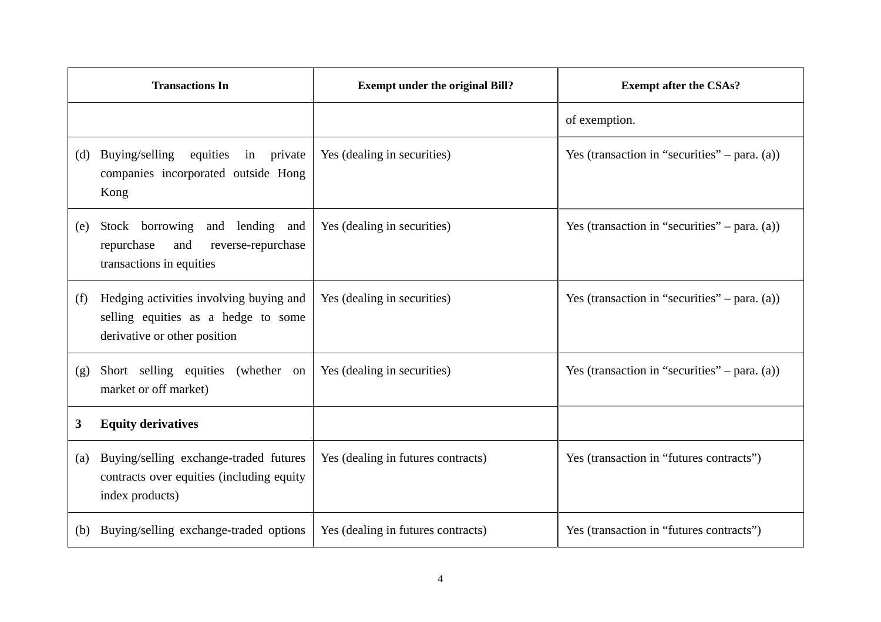|     | <b>Transactions In</b>                                                                                         | <b>Exempt under the original Bill?</b> | <b>Exempt after the CSAs?</b>                    |
|-----|----------------------------------------------------------------------------------------------------------------|----------------------------------------|--------------------------------------------------|
|     |                                                                                                                |                                        | of exemption.                                    |
| (d) | Buying/selling<br>equities in private<br>companies incorporated outside Hong<br>Kong                           | Yes (dealing in securities)            | Yes (transaction in "securities" – para. $(a)$ ) |
| (e) | Stock borrowing<br>and lending and<br>repurchase<br>and<br>reverse-repurchase<br>transactions in equities      | Yes (dealing in securities)            | Yes (transaction in "securities" – para. $(a)$ ) |
| (f) | Hedging activities involving buying and<br>selling equities as a hedge to some<br>derivative or other position | Yes (dealing in securities)            | Yes (transaction in "securities" – para. $(a)$ ) |
| (g) | Short selling equities (whether on<br>market or off market)                                                    | Yes (dealing in securities)            | Yes (transaction in "securities" – para. $(a)$ ) |
| 3   | <b>Equity derivatives</b>                                                                                      |                                        |                                                  |
| (a) | Buying/selling exchange-traded futures<br>contracts over equities (including equity<br>index products)         | Yes (dealing in futures contracts)     | Yes (transaction in "futures contracts")         |
| (b) | Buying/selling exchange-traded options                                                                         | Yes (dealing in futures contracts)     | Yes (transaction in "futures contracts")         |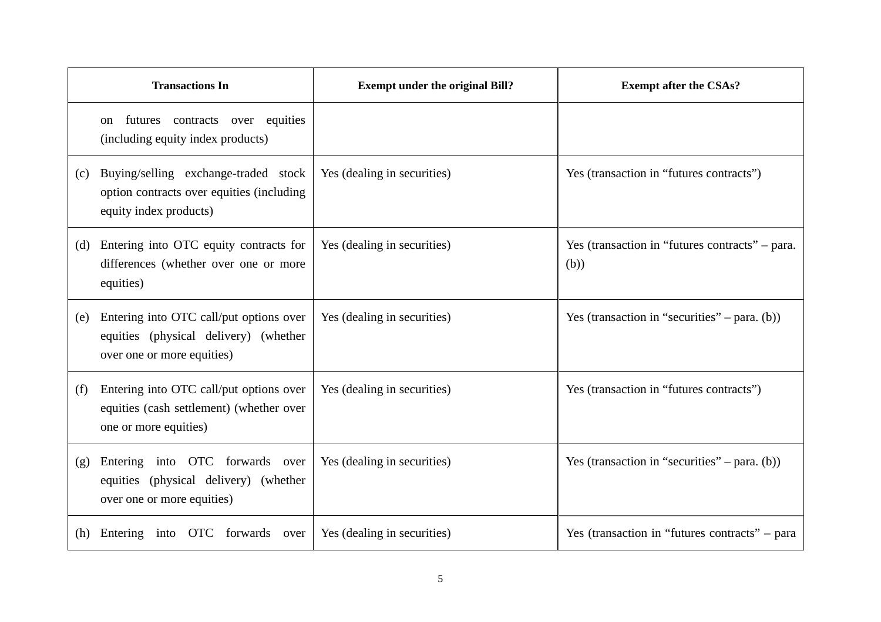|     | <b>Transactions In</b>                                                                                         | <b>Exempt under the original Bill?</b> | <b>Exempt after the CSAs?</b>                           |
|-----|----------------------------------------------------------------------------------------------------------------|----------------------------------------|---------------------------------------------------------|
|     | futures contracts over equities<br>on<br>(including equity index products)                                     |                                        |                                                         |
| (c) | Buying/selling exchange-traded stock<br>option contracts over equities (including<br>equity index products)    | Yes (dealing in securities)            | Yes (transaction in "futures contracts")                |
| (d) | Entering into OTC equity contracts for<br>differences (whether over one or more<br>equities)                   | Yes (dealing in securities)            | Yes (transaction in "futures contracts" – para.<br>(b)) |
| (e) | Entering into OTC call/put options over<br>equities (physical delivery) (whether<br>over one or more equities) | Yes (dealing in securities)            | Yes (transaction in "securities" – para. $(b)$ )        |
| (f) | Entering into OTC call/put options over<br>equities (cash settlement) (whether over<br>one or more equities)   | Yes (dealing in securities)            | Yes (transaction in "futures contracts")                |
| (g) | Entering into OTC forwards over<br>equities (physical delivery) (whether<br>over one or more equities)         | Yes (dealing in securities)            | Yes (transaction in "securities" – para. $(b)$ )        |
|     | (h) Entering into OTC forwards over                                                                            | Yes (dealing in securities)            | Yes (transaction in "futures contracts" – para          |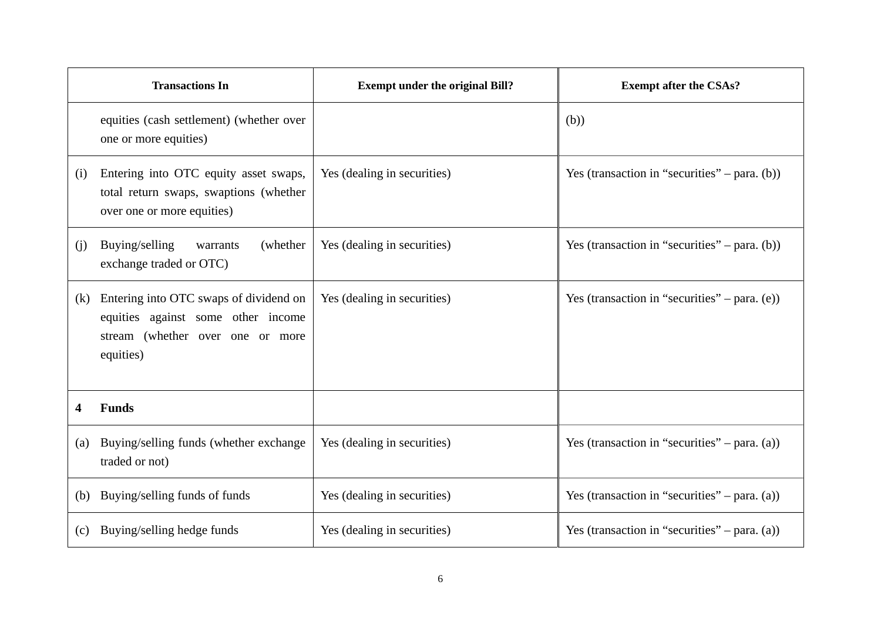|     | <b>Transactions In</b>                                                                                                        | <b>Exempt under the original Bill?</b> | <b>Exempt after the CSAs?</b>                    |
|-----|-------------------------------------------------------------------------------------------------------------------------------|----------------------------------------|--------------------------------------------------|
|     | equities (cash settlement) (whether over<br>one or more equities)                                                             |                                        | (b))                                             |
| (i) | Entering into OTC equity asset swaps,<br>total return swaps, swaptions (whether<br>over one or more equities)                 | Yes (dealing in securities)            | Yes (transaction in "securities" – para. $(b)$ ) |
| (j) | Buying/selling<br>(whether)<br>warrants<br>exchange traded or OTC)                                                            | Yes (dealing in securities)            | Yes (transaction in "securities" – para. $(b)$ ) |
| (k) | Entering into OTC swaps of dividend on<br>equities against some other income<br>stream (whether over one or more<br>equities) | Yes (dealing in securities)            | Yes (transaction in "securities" – para. $(e)$ ) |
| 4   | <b>Funds</b>                                                                                                                  |                                        |                                                  |
| (a) | Buying/selling funds (whether exchange<br>traded or not)                                                                      | Yes (dealing in securities)            | Yes (transaction in "securities" – para. $(a)$ ) |
|     | (b) Buying/selling funds of funds                                                                                             | Yes (dealing in securities)            | Yes (transaction in "securities" – para. $(a)$ ) |
| (c) | Buying/selling hedge funds                                                                                                    | Yes (dealing in securities)            | Yes (transaction in "securities" – para. $(a)$ ) |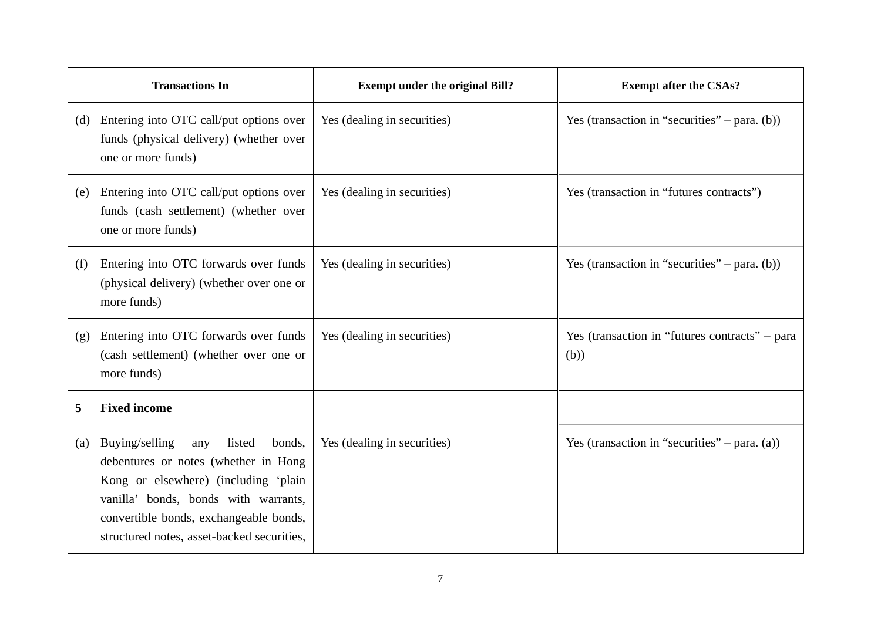|     | <b>Transactions In</b>                                                                                                                                                                                                                                    | <b>Exempt under the original Bill?</b> | <b>Exempt after the CSAs?</b>                          |
|-----|-----------------------------------------------------------------------------------------------------------------------------------------------------------------------------------------------------------------------------------------------------------|----------------------------------------|--------------------------------------------------------|
|     | (d) Entering into OTC call/put options over<br>funds (physical delivery) (whether over<br>one or more funds)                                                                                                                                              | Yes (dealing in securities)            | Yes (transaction in "securities" – para. $(b)$ )       |
| (e) | Entering into OTC call/put options over<br>funds (cash settlement) (whether over<br>one or more funds)                                                                                                                                                    | Yes (dealing in securities)            | Yes (transaction in "futures contracts")               |
| (f) | Entering into OTC forwards over funds<br>(physical delivery) (whether over one or<br>more funds)                                                                                                                                                          | Yes (dealing in securities)            | Yes (transaction in "securities" – para. $(b)$ )       |
| (g) | Entering into OTC forwards over funds<br>(cash settlement) (whether over one or<br>more funds)                                                                                                                                                            | Yes (dealing in securities)            | Yes (transaction in "futures contracts" – para<br>(b)) |
| 5   | <b>Fixed income</b>                                                                                                                                                                                                                                       |                                        |                                                        |
| (a) | Buying/selling<br>listed<br>bonds,<br>any<br>debentures or notes (whether in Hong<br>Kong or elsewhere) (including 'plain<br>vanilla' bonds, bonds with warrants,<br>convertible bonds, exchangeable bonds,<br>structured notes, asset-backed securities, | Yes (dealing in securities)            | Yes (transaction in "securities" – para. $(a)$ )       |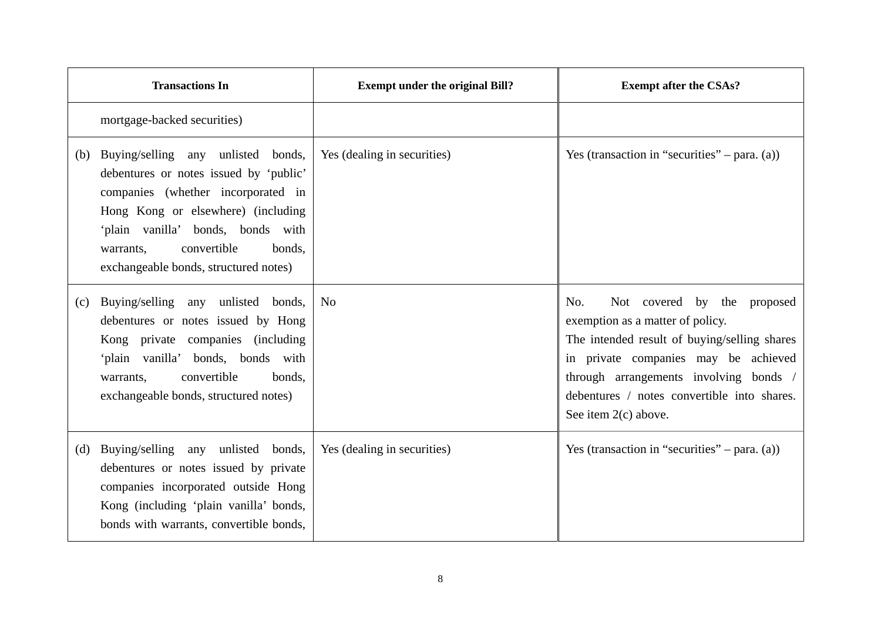|     | <b>Transactions In</b>                                                                                                                                                                                                                                                       | <b>Exempt under the original Bill?</b> | <b>Exempt after the CSAs?</b>                                                                                                                                                                                                                                                     |
|-----|------------------------------------------------------------------------------------------------------------------------------------------------------------------------------------------------------------------------------------------------------------------------------|----------------------------------------|-----------------------------------------------------------------------------------------------------------------------------------------------------------------------------------------------------------------------------------------------------------------------------------|
|     | mortgage-backed securities)                                                                                                                                                                                                                                                  |                                        |                                                                                                                                                                                                                                                                                   |
| (b) | Buying/selling any unlisted bonds,<br>debentures or notes issued by 'public'<br>companies (whether incorporated in<br>Hong Kong or elsewhere) (including<br>'plain vanilla' bonds, bonds with<br>convertible<br>bonds.<br>warrants,<br>exchangeable bonds, structured notes) | Yes (dealing in securities)            | Yes (transaction in "securities" – para. $(a)$ )                                                                                                                                                                                                                                  |
| (c) | Buying/selling any unlisted bonds,<br>debentures or notes issued by Hong<br>Kong private companies (including<br>'plain vanilla' bonds, bonds with<br>convertible<br>bonds.<br>warrants,<br>exchangeable bonds, structured notes)                                            | N <sub>o</sub>                         | Not covered by the proposed<br>No.<br>exemption as a matter of policy.<br>The intended result of buying/selling shares<br>in private companies may be achieved<br>through arrangements involving bonds /<br>debentures / notes convertible into shares.<br>See item $2(c)$ above. |
| (d) | Buying/selling any unlisted bonds,<br>debentures or notes issued by private<br>companies incorporated outside Hong<br>Kong (including 'plain vanilla' bonds,<br>bonds with warrants, convertible bonds,                                                                      | Yes (dealing in securities)            | Yes (transaction in "securities" – para. $(a)$ )                                                                                                                                                                                                                                  |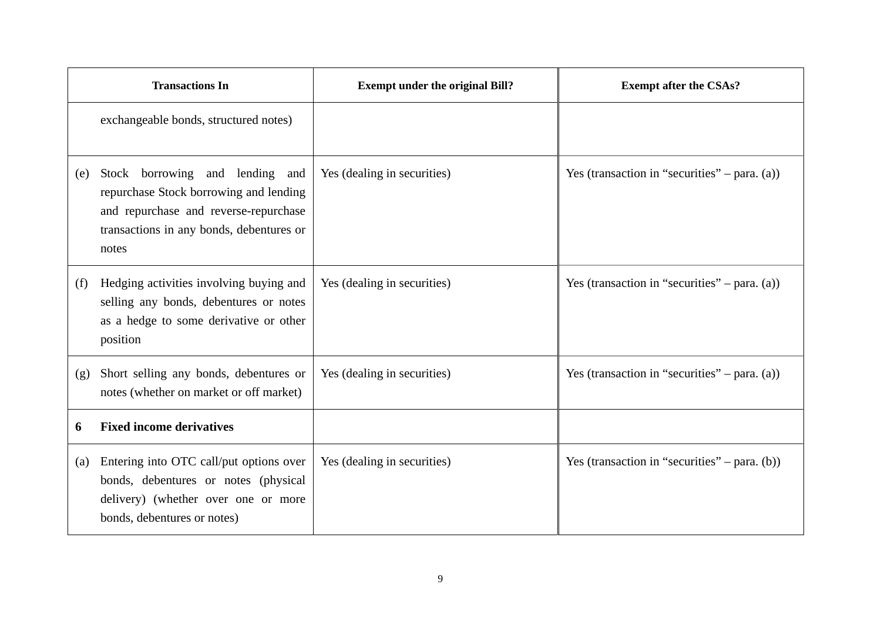|     | <b>Transactions In</b>                                                                                                                                                  | <b>Exempt under the original Bill?</b> | <b>Exempt after the CSAs?</b>                    |
|-----|-------------------------------------------------------------------------------------------------------------------------------------------------------------------------|----------------------------------------|--------------------------------------------------|
|     | exchangeable bonds, structured notes)                                                                                                                                   |                                        |                                                  |
| (e) | Stock borrowing and lending and<br>repurchase Stock borrowing and lending<br>and repurchase and reverse-repurchase<br>transactions in any bonds, debentures or<br>notes | Yes (dealing in securities)            | Yes (transaction in "securities" – para. $(a)$ ) |
| (f) | Hedging activities involving buying and<br>selling any bonds, debentures or notes<br>as a hedge to some derivative or other<br>position                                 | Yes (dealing in securities)            | Yes (transaction in "securities" – para. $(a)$ ) |
| (g) | Short selling any bonds, debentures or<br>notes (whether on market or off market)                                                                                       | Yes (dealing in securities)            | Yes (transaction in "securities" – para. $(a)$ ) |
| 6   | <b>Fixed income derivatives</b>                                                                                                                                         |                                        |                                                  |
| (a) | Entering into OTC call/put options over<br>bonds, debentures or notes (physical<br>delivery) (whether over one or more<br>bonds, debentures or notes)                   | Yes (dealing in securities)            | Yes (transaction in "securities" – para. $(b)$ ) |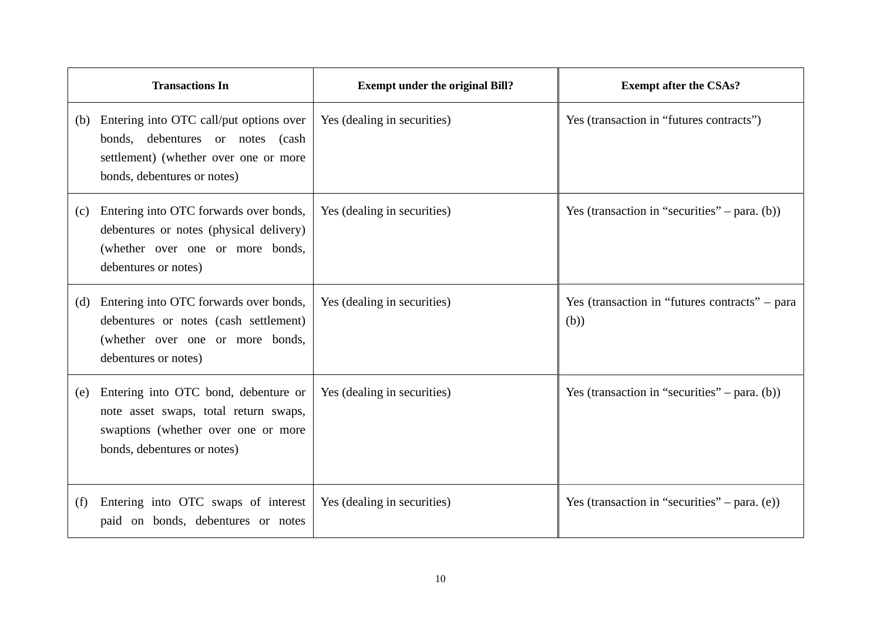|     | <b>Transactions In</b>                                                                                                                              | <b>Exempt under the original Bill?</b> | <b>Exempt after the CSAs?</b>                          |
|-----|-----------------------------------------------------------------------------------------------------------------------------------------------------|----------------------------------------|--------------------------------------------------------|
| (b) | Entering into OTC call/put options over<br>bonds, debentures or notes (cash<br>settlement) (whether over one or more<br>bonds, debentures or notes) | Yes (dealing in securities)            | Yes (transaction in "futures contracts")               |
| (c) | Entering into OTC forwards over bonds,<br>debentures or notes (physical delivery)<br>(whether over one or more bonds,<br>debentures or notes)       | Yes (dealing in securities)            | Yes (transaction in "securities" – para. $(b)$ )       |
| (d) | Entering into OTC forwards over bonds,<br>debentures or notes (cash settlement)<br>(whether over one or more bonds,<br>debentures or notes)         | Yes (dealing in securities)            | Yes (transaction in "futures contracts" – para<br>(b)) |
| (e) | Entering into OTC bond, debenture or<br>note asset swaps, total return swaps,<br>swaptions (whether over one or more<br>bonds, debentures or notes) | Yes (dealing in securities)            | Yes (transaction in "securities" – para. $(b)$ )       |
| (f) | Entering into OTC swaps of interest<br>paid on bonds, debentures or notes                                                                           | Yes (dealing in securities)            | Yes (transaction in "securities" – para. $(e)$ )       |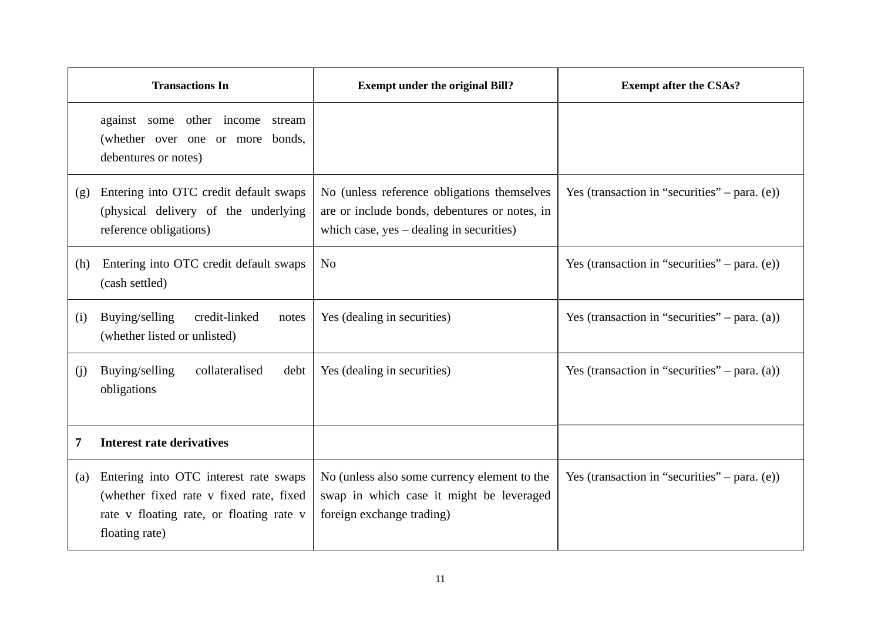|     | <b>Transactions In</b>                                                                                                                         | <b>Exempt under the original Bill?</b>                                                                                                     | <b>Exempt after the CSAs?</b>                    |
|-----|------------------------------------------------------------------------------------------------------------------------------------------------|--------------------------------------------------------------------------------------------------------------------------------------------|--------------------------------------------------|
|     | against some other income stream<br>(whether over one or more bonds,<br>debentures or notes)                                                   |                                                                                                                                            |                                                  |
| (g) | Entering into OTC credit default swaps<br>(physical delivery of the underlying<br>reference obligations)                                       | No (unless reference obligations themselves<br>are or include bonds, debentures or notes, in<br>which case, $yes$ – dealing in securities) | Yes (transaction in "securities" – para. $(e)$ ) |
| (h) | Entering into OTC credit default swaps<br>(cash settled)                                                                                       | N <sub>0</sub>                                                                                                                             | Yes (transaction in "securities" – para. $(e)$ ) |
| (i) | credit-linked<br>Buying/selling<br>notes<br>(whether listed or unlisted)                                                                       | Yes (dealing in securities)                                                                                                                | Yes (transaction in "securities" – para. (a))    |
| (i) | Buying/selling<br>collateralised<br>debt<br>obligations                                                                                        | Yes (dealing in securities)                                                                                                                | Yes (transaction in "securities" – para. $(a)$ ) |
| 7   | <b>Interest rate derivatives</b>                                                                                                               |                                                                                                                                            |                                                  |
| (a) | Entering into OTC interest rate swaps<br>(whether fixed rate v fixed rate, fixed<br>rate v floating rate, or floating rate v<br>floating rate) | No (unless also some currency element to the<br>swap in which case it might be leveraged<br>foreign exchange trading)                      | Yes (transaction in "securities" – para. $(e)$ ) |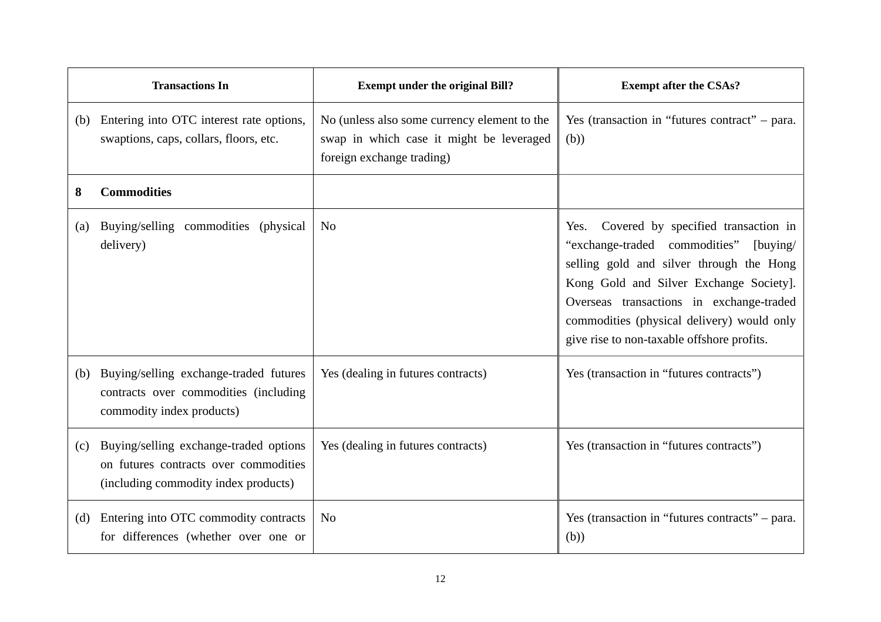|                   | <b>Transactions In</b>                                                                                                  | <b>Exempt under the original Bill?</b>                                                                                | <b>Exempt after the CSAs?</b>                                                                                                                                                                                                                                                                                           |
|-------------------|-------------------------------------------------------------------------------------------------------------------------|-----------------------------------------------------------------------------------------------------------------------|-------------------------------------------------------------------------------------------------------------------------------------------------------------------------------------------------------------------------------------------------------------------------------------------------------------------------|
|                   | (b) Entering into OTC interest rate options,<br>swaptions, caps, collars, floors, etc.                                  | No (unless also some currency element to the<br>swap in which case it might be leveraged<br>foreign exchange trading) | Yes (transaction in "futures contract" – para.<br>(b))                                                                                                                                                                                                                                                                  |
| 8                 | <b>Commodities</b>                                                                                                      |                                                                                                                       |                                                                                                                                                                                                                                                                                                                         |
| $\left( a\right)$ | Buying/selling commodities<br>(physical)<br>delivery)                                                                   | N <sub>o</sub>                                                                                                        | Covered by specified transaction in<br>Yes.<br>"exchange-traded commodities"<br>[buying/<br>selling gold and silver through the Hong<br>Kong Gold and Silver Exchange Society].<br>Overseas transactions in exchange-traded<br>commodities (physical delivery) would only<br>give rise to non-taxable offshore profits. |
| (b)               | Buying/selling exchange-traded futures<br>contracts over commodities (including<br>commodity index products)            | Yes (dealing in futures contracts)                                                                                    | Yes (transaction in "futures contracts")                                                                                                                                                                                                                                                                                |
| (c)               | Buying/selling exchange-traded options<br>on futures contracts over commodities<br>(including commodity index products) | Yes (dealing in futures contracts)                                                                                    | Yes (transaction in "futures contracts")                                                                                                                                                                                                                                                                                |
| (d)               | Entering into OTC commodity contracts<br>for differences (whether over one or                                           | No                                                                                                                    | Yes (transaction in "futures contracts" – para.<br>(b))                                                                                                                                                                                                                                                                 |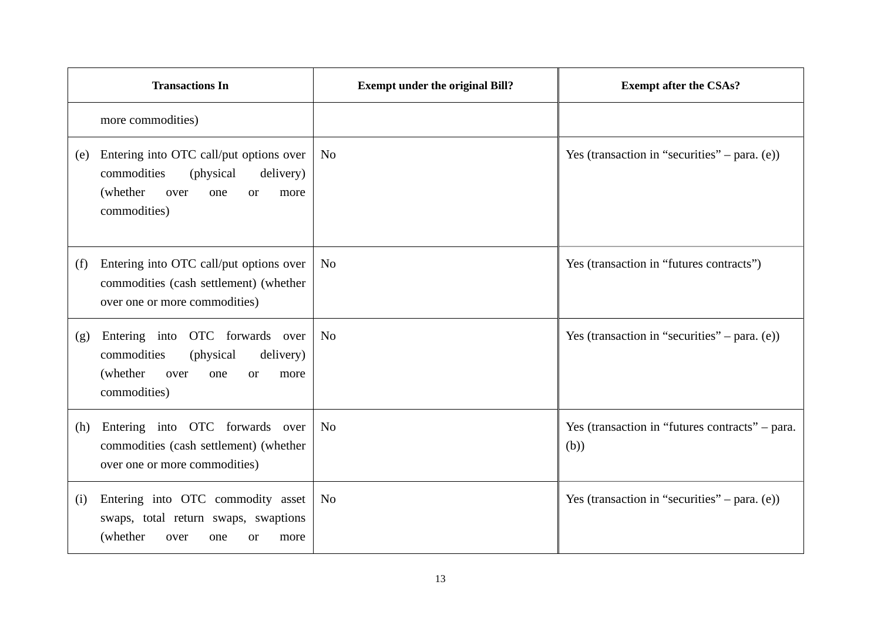| <b>Transactions In</b>                                                                                                    |                                                  | <b>Exempt under the original Bill?</b> | <b>Exempt after the CSAs?</b>                           |
|---------------------------------------------------------------------------------------------------------------------------|--------------------------------------------------|----------------------------------------|---------------------------------------------------------|
| more commodities)                                                                                                         |                                                  |                                        |                                                         |
| Entering into OTC call/put options over<br>(e)<br>commodities<br>(physical)<br>(whether)<br>over<br>one<br>commodities)   | N <sub>0</sub><br>delivery)<br><b>or</b><br>more |                                        | Yes (transaction in "securities" – para. $(e)$ )        |
| Entering into OTC call/put options over<br>(f)<br>commodities (cash settlement) (whether<br>over one or more commodities) | N <sub>o</sub>                                   |                                        | Yes (transaction in "futures contracts")                |
| Entering into OTC forwards over<br>(g)<br>commodities<br>(physical)<br>(whether)<br>over<br>one<br>commodities)           | N <sub>o</sub><br>delivery)<br><b>or</b><br>more |                                        | Yes (transaction in "securities" – para. $(e)$ )        |
| Entering into OTC forwards over<br>(h)<br>commodities (cash settlement) (whether<br>over one or more commodities)         | N <sub>o</sub>                                   |                                        | Yes (transaction in "futures contracts" – para.<br>(b)) |
| Entering into OTC commodity asset<br>(i)<br>swaps, total return swaps, swaptions<br>(whether)<br>over<br>one              | N <sub>o</sub><br><b>or</b><br>more              |                                        | Yes (transaction in "securities" – para. $(e)$ )        |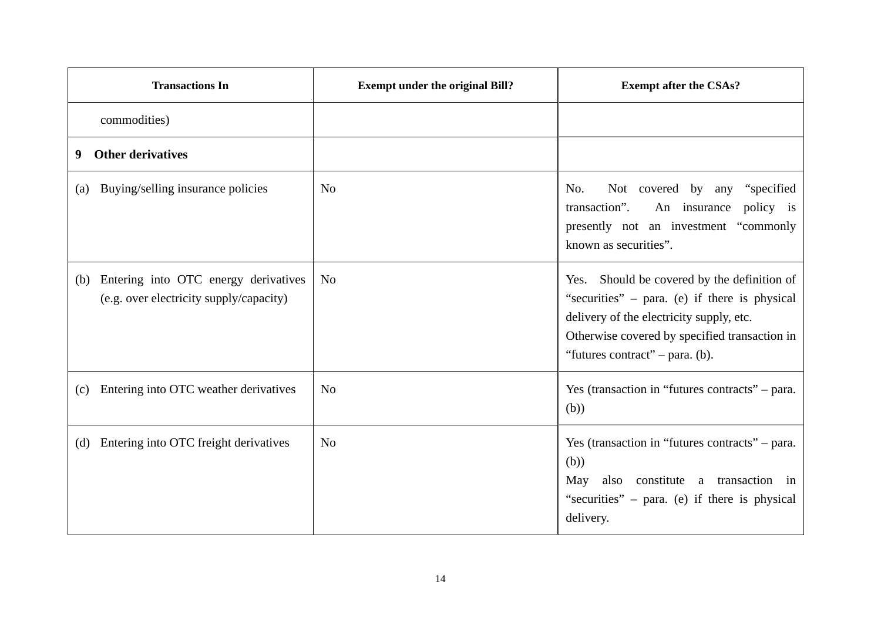| <b>Transactions In</b>                                                                 | <b>Exempt under the original Bill?</b> | <b>Exempt after the CSAs?</b>                                                                                                                                                                                                  |
|----------------------------------------------------------------------------------------|----------------------------------------|--------------------------------------------------------------------------------------------------------------------------------------------------------------------------------------------------------------------------------|
| commodities)                                                                           |                                        |                                                                                                                                                                                                                                |
| <b>Other derivatives</b><br>9                                                          |                                        |                                                                                                                                                                                                                                |
| Buying/selling insurance policies<br>(a)                                               | N <sub>0</sub>                         | No.<br>Not covered by any "specified"<br>transaction".<br>An insurance<br>policy is<br>presently not an investment "commonly<br>known as securities".                                                                          |
| Entering into OTC energy derivatives<br>(b)<br>(e.g. over electricity supply/capacity) | N <sub>0</sub>                         | Yes. Should be covered by the definition of<br>"securities" – para. (e) if there is physical<br>delivery of the electricity supply, etc.<br>Otherwise covered by specified transaction in<br>"futures contract" $-$ para. (b). |
| Entering into OTC weather derivatives<br>(c)                                           | N <sub>0</sub>                         | Yes (transaction in "futures contracts" – para.<br>(b))                                                                                                                                                                        |
| Entering into OTC freight derivatives<br>(d)                                           | N <sub>0</sub>                         | Yes (transaction in "futures contracts" – para.<br>(b))<br>constitute a transaction in<br>May<br>also<br>"securities" - para. (e) if there is physical<br>delivery.                                                            |